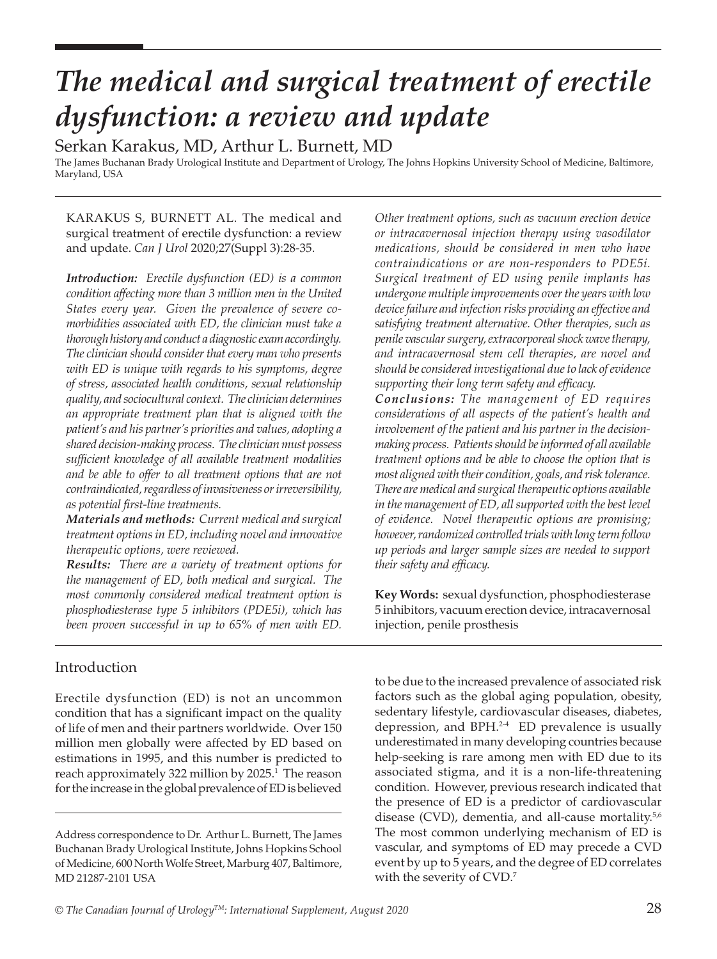# *The medical and surgical treatment of erectile dysfunction: a review and update*

Serkan Karakus, MD, Arthur L. Burnett, MD

The James Buchanan Brady Urological Institute and Department of Urology, The Johns Hopkins University School of Medicine, Baltimore, Maryland, USA

KARAKUS S, BURNETT AL. The medical and surgical treatment of erectile dysfunction: a review and update. *Can J Urol* 2020;27(Suppl 3):28-35.

*Introduction: Erectile dysfunction (ED) is a common condition affecting more than 3 million men in the United States every year. Given the prevalence of severe comorbidities associated with ED, the clinician must take a thorough history and conduct a diagnostic exam accordingly. The clinician should consider that every man who presents with ED is unique with regards to his symptoms, degree of stress, associated health conditions, sexual relationship quality, and sociocultural context. The clinician determines an appropriate treatment plan that is aligned with the patient's and his partner's priorities and values, adopting a shared decision-making process. The clinician must possess sufficient knowledge of all available treatment modalities and be able to offer to all treatment options that are not contraindicated, regardless of invasiveness or irreversibility, as potential first-line treatments.* 

*Materials and methods: Current medical and surgical treatment options in ED, including novel and innovative therapeutic options, were reviewed.* 

*Results: There are a variety of treatment options for the management of ED, both medical and surgical. The most commonly considered medical treatment option is phosphodiesterase type 5 inhibitors (PDE5i), which has been proven successful in up to 65% of men with ED.* 

*Other treatment options, such as vacuum erection device or intracavernosal injection therapy using vasodilator medications, should be considered in men who have contraindications or are non-responders to PDE5i. Surgical treatment of ED using penile implants has undergone multiple improvements over the years with low device failure and infection risks providing an effective and satisfying treatment alternative. Other therapies, such as penile vascular surgery, extracorporeal shock wave therapy, and intracavernosal stem cell therapies, are novel and should be considered investigational due to lack of evidence supporting their long term safety and efficacy.*

*Conclusions: The management of ED requires considerations of all aspects of the patient's health and involvement of the patient and his partner in the decisionmaking process. Patients should be informed of all available treatment options and be able to choose the option that is most aligned with their condition, goals, and risk tolerance. There are medical and surgical therapeutic options available in the management of ED, all supported with the best level of evidence. Novel therapeutic options are promising; however, randomized controlled trials with long term follow up periods and larger sample sizes are needed to support their safety and efficacy.*

**Key Words:** sexual dysfunction, phosphodiesterase 5 inhibitors, vacuum erection device, intracavernosal injection, penile prosthesis

# Introduction

Erectile dysfunction (ED) is not an uncommon condition that has a significant impact on the quality of life of men and their partners worldwide. Over 150 million men globally were affected by ED based on estimations in 1995, and this number is predicted to reach approximately 322 million by 2025.<sup>1</sup> The reason for the increase in the global prevalence of ED is believed

to be due to the increased prevalence of associated risk factors such as the global aging population, obesity, sedentary lifestyle, cardiovascular diseases, diabetes, depression, and BPH.<sup>2-4</sup> ED prevalence is usually underestimated in many developing countries because help-seeking is rare among men with ED due to its associated stigma, and it is a non-life-threatening condition. However, previous research indicated that the presence of ED is a predictor of cardiovascular disease (CVD), dementia, and all-cause mortality.<sup>5,6</sup> The most common underlying mechanism of ED is vascular, and symptoms of ED may precede a CVD event by up to 5 years, and the degree of ED correlates with the severity of CVD.<sup>7</sup>

Address correspondence to Dr. Arthur L. Burnett, The James Buchanan Brady Urological Institute, Johns Hopkins School of Medicine, 600 North Wolfe Street, Marburg 407, Baltimore, MD 21287-2101 USA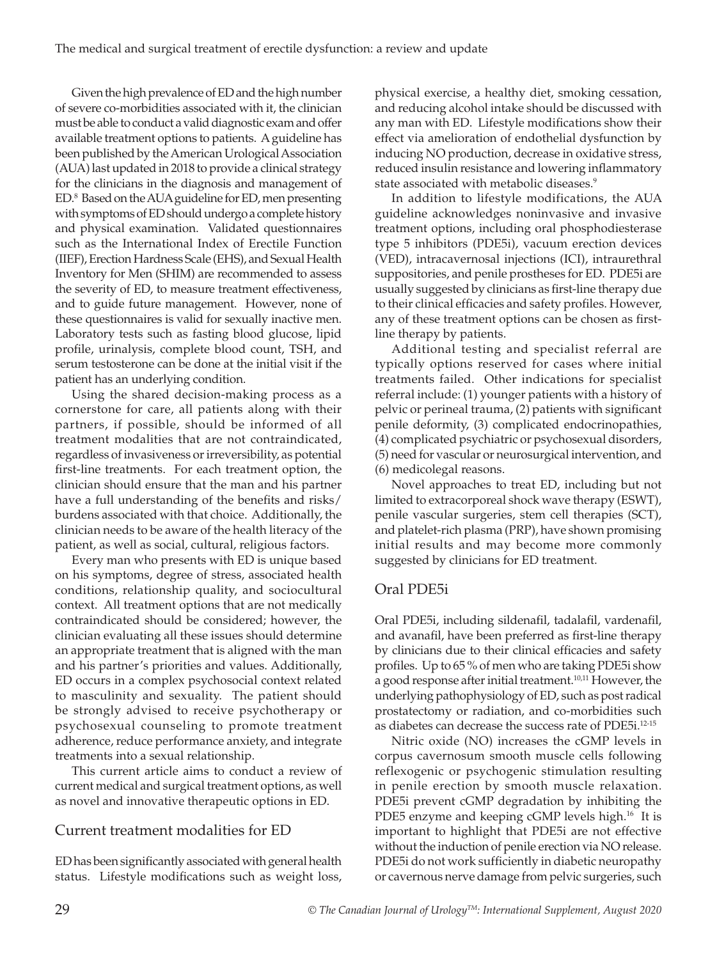Given the high prevalence of ED and the high number of severe co-morbidities associated with it, the clinician must be able to conduct a valid diagnostic exam and offer available treatment options to patients. A guideline has been published by the American Urological Association (AUA) last updated in 2018 to provide a clinical strategy for the clinicians in the diagnosis and management of ED.8 Based on the AUA guideline for ED, men presenting with symptoms of ED should undergo a complete history and physical examination. Validated questionnaires such as the International Index of Erectile Function (IIEF), Erection Hardness Scale (EHS), and Sexual Health Inventory for Men (SHIM) are recommended to assess the severity of ED, to measure treatment effectiveness, and to guide future management. However, none of these questionnaires is valid for sexually inactive men. Laboratory tests such as fasting blood glucose, lipid profile, urinalysis, complete blood count, TSH, and serum testosterone can be done at the initial visit if the patient has an underlying condition.

Using the shared decision-making process as a cornerstone for care, all patients along with their partners, if possible, should be informed of all treatment modalities that are not contraindicated, regardless of invasiveness or irreversibility, as potential first-line treatments. For each treatment option, the clinician should ensure that the man and his partner have a full understanding of the benefits and risks/ burdens associated with that choice. Additionally, the clinician needs to be aware of the health literacy of the patient, as well as social, cultural, religious factors.

Every man who presents with ED is unique based on his symptoms, degree of stress, associated health conditions, relationship quality, and sociocultural context. All treatment options that are not medically contraindicated should be considered; however, the clinician evaluating all these issues should determine an appropriate treatment that is aligned with the man and his partner's priorities and values. Additionally, ED occurs in a complex psychosocial context related to masculinity and sexuality. The patient should be strongly advised to receive psychotherapy or psychosexual counseling to promote treatment adherence, reduce performance anxiety, and integrate treatments into a sexual relationship.

This current article aims to conduct a review of current medical and surgical treatment options, as well as novel and innovative therapeutic options in ED.

# Current treatment modalities for ED

ED has been significantly associated with general health status. Lifestyle modifications such as weight loss,

physical exercise, a healthy diet, smoking cessation, and reducing alcohol intake should be discussed with any man with ED. Lifestyle modifications show their effect via amelioration of endothelial dysfunction by inducing NO production, decrease in oxidative stress, reduced insulin resistance and lowering inflammatory state associated with metabolic diseases.<sup>9</sup>

In addition to lifestyle modifications, the AUA guideline acknowledges noninvasive and invasive treatment options, including oral phosphodiesterase type 5 inhibitors (PDE5i), vacuum erection devices (VED), intracavernosal injections (ICI), intraurethral suppositories, and penile prostheses for ED. PDE5i are usually suggested by clinicians as first-line therapy due to their clinical efficacies and safety profiles. However, any of these treatment options can be chosen as firstline therapy by patients.

Additional testing and specialist referral are typically options reserved for cases where initial treatments failed. Other indications for specialist referral include: (1) younger patients with a history of pelvic or perineal trauma, (2) patients with significant penile deformity, (3) complicated endocrinopathies, (4) complicated psychiatric or psychosexual disorders, (5) need for vascular or neurosurgical intervention, and (6) medicolegal reasons.

Novel approaches to treat ED, including but not limited to extracorporeal shock wave therapy (ESWT), penile vascular surgeries, stem cell therapies (SCT), and platelet-rich plasma (PRP), have shown promising initial results and may become more commonly suggested by clinicians for ED treatment.

#### Oral PDE5i

Oral PDE5i, including sildenafil, tadalafil, vardenafil, and avanafil, have been preferred as first-line therapy by clinicians due to their clinical efficacies and safety profiles. Up to 65 % of men who are taking PDE5i show a good response after initial treatment.<sup>10,11</sup> However, the underlying pathophysiology of ED, such as post radical prostatectomy or radiation, and co-morbidities such as diabetes can decrease the success rate of PDE5i.<sup>12-15</sup>

Nitric oxide (NO) increases the cGMP levels in corpus cavernosum smooth muscle cells following reflexogenic or psychogenic stimulation resulting in penile erection by smooth muscle relaxation. PDE5i prevent cGMP degradation by inhibiting the PDE5 enzyme and keeping cGMP levels high.<sup>16</sup> It is important to highlight that PDE5i are not effective without the induction of penile erection via NO release. PDE5i do not work sufficiently in diabetic neuropathy or cavernous nerve damage from pelvic surgeries, such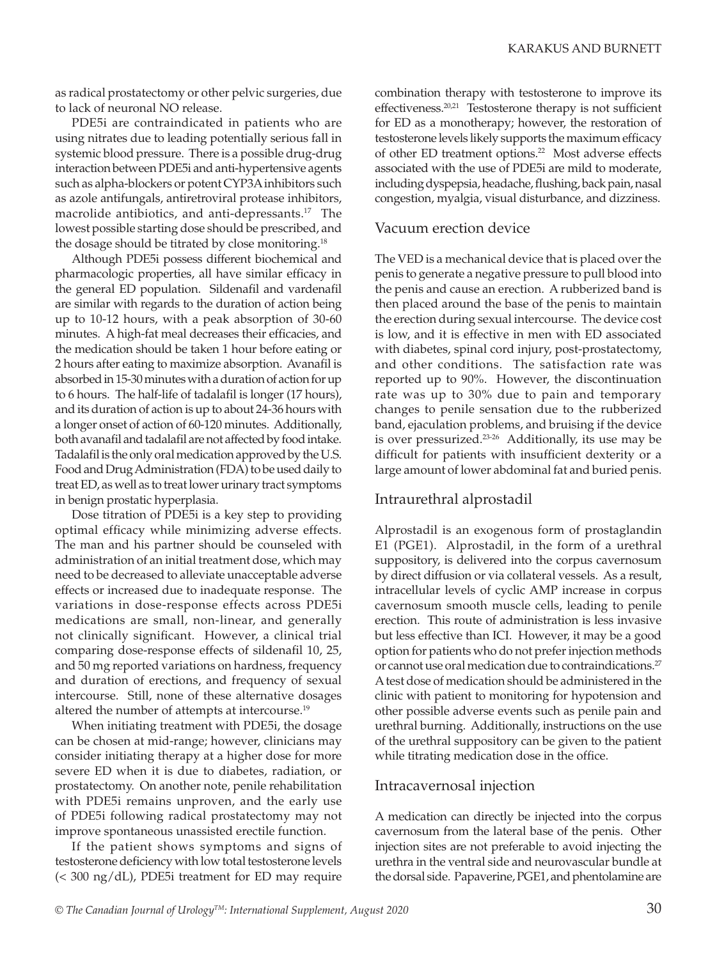as radical prostatectomy or other pelvic surgeries, due to lack of neuronal NO release.

PDE5i are contraindicated in patients who are using nitrates due to leading potentially serious fall in systemic blood pressure. There is a possible drug-drug interaction between PDE5i and anti-hypertensive agents such as alpha-blockers or potent CYP3A inhibitors such as azole antifungals, antiretroviral protease inhibitors, macrolide antibiotics, and anti-depressants.<sup>17</sup> The lowest possible starting dose should be prescribed, and the dosage should be titrated by close monitoring.<sup>18</sup>

Although PDE5i possess different biochemical and pharmacologic properties, all have similar efficacy in the general ED population. Sildenafil and vardenafil are similar with regards to the duration of action being up to 10-12 hours, with a peak absorption of 30-60 minutes. A high-fat meal decreases their efficacies, and the medication should be taken 1 hour before eating or 2 hours after eating to maximize absorption. Avanafil is absorbed in 15-30 minutes with a duration of action for up to 6 hours. The half-life of tadalafil is longer (17 hours), and its duration of action is up to about 24-36 hours with a longer onset of action of 60-120 minutes. Additionally, both avanafil and tadalafil are not affected by food intake. Tadalafil is the only oral medication approved by the U.S. Food and Drug Administration (FDA) to be used daily to treat ED, as well as to treat lower urinary tract symptoms in benign prostatic hyperplasia.

Dose titration of PDE5i is a key step to providing optimal efficacy while minimizing adverse effects. The man and his partner should be counseled with administration of an initial treatment dose, which may need to be decreased to alleviate unacceptable adverse effects or increased due to inadequate response. The variations in dose-response effects across PDE5i medications are small, non-linear, and generally not clinically significant. However, a clinical trial comparing dose-response effects of sildenafil 10, 25, and 50 mg reported variations on hardness, frequency and duration of erections, and frequency of sexual intercourse. Still, none of these alternative dosages altered the number of attempts at intercourse.<sup>19</sup>

When initiating treatment with PDE5i, the dosage can be chosen at mid-range; however, clinicians may consider initiating therapy at a higher dose for more severe ED when it is due to diabetes, radiation, or prostatectomy. On another note, penile rehabilitation with PDE5i remains unproven, and the early use of PDE5i following radical prostatectomy may not improve spontaneous unassisted erectile function.

If the patient shows symptoms and signs of testosterone deficiency with low total testosterone levels (< 300 ng/dL), PDE5i treatment for ED may require

combination therapy with testosterone to improve its effectiveness. $20,21$  Testosterone therapy is not sufficient for ED as a monotherapy; however, the restoration of testosterone levels likely supports the maximum efficacy of other ED treatment options.<sup>22</sup> Most adverse effects associated with the use of PDE5i are mild to moderate, including dyspepsia, headache, flushing, back pain, nasal congestion, myalgia, visual disturbance, and dizziness.

#### Vacuum erection device

The VED is a mechanical device that is placed over the penis to generate a negative pressure to pull blood into the penis and cause an erection. A rubberized band is then placed around the base of the penis to maintain the erection during sexual intercourse. The device cost is low, and it is effective in men with ED associated with diabetes, spinal cord injury, post-prostatectomy, and other conditions. The satisfaction rate was reported up to 90%. However, the discontinuation rate was up to 30% due to pain and temporary changes to penile sensation due to the rubberized band, ejaculation problems, and bruising if the device is over pressurized.<sup>23-26</sup> Additionally, its use may be difficult for patients with insufficient dexterity or a large amount of lower abdominal fat and buried penis.

### Intraurethral alprostadil

Alprostadil is an exogenous form of prostaglandin E1 (PGE1). Alprostadil, in the form of a urethral suppository, is delivered into the corpus cavernosum by direct diffusion or via collateral vessels. As a result, intracellular levels of cyclic AMP increase in corpus cavernosum smooth muscle cells, leading to penile erection. This route of administration is less invasive but less effective than ICI. However, it may be a good option for patients who do not prefer injection methods or cannot use oral medication due to contraindications.<sup>27</sup> A test dose of medication should be administered in the clinic with patient to monitoring for hypotension and other possible adverse events such as penile pain and urethral burning. Additionally, instructions on the use of the urethral suppository can be given to the patient while titrating medication dose in the office.

#### Intracavernosal injection

A medication can directly be injected into the corpus cavernosum from the lateral base of the penis. Other injection sites are not preferable to avoid injecting the urethra in the ventral side and neurovascular bundle at the dorsal side. Papaverine, PGE1, and phentolamine are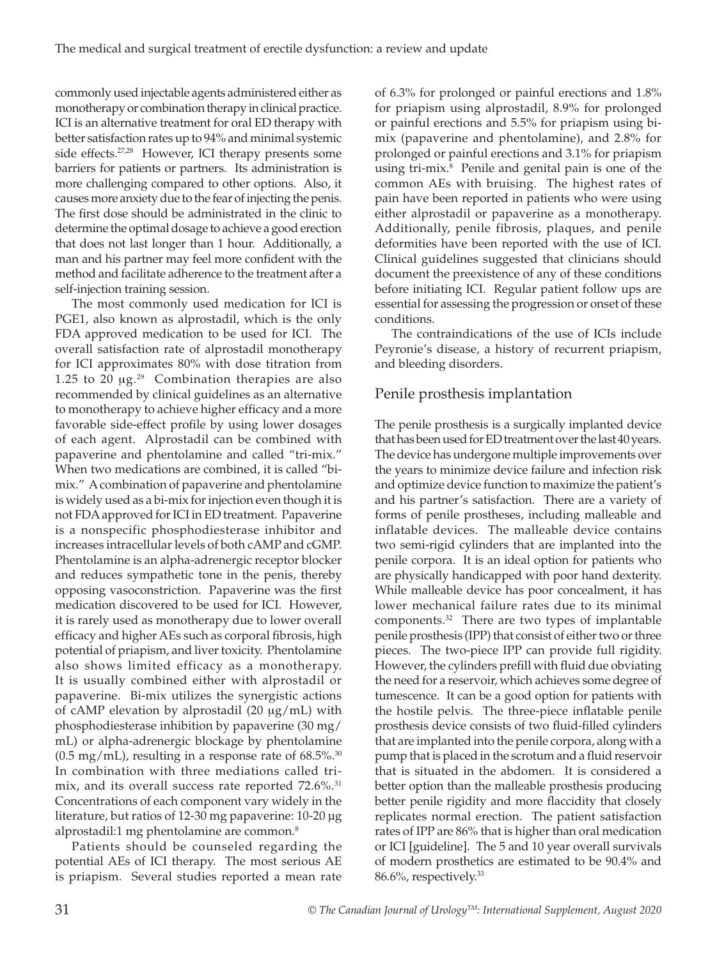commonly used injectable agents administered either as monotherapy or combination therapy in clinical practice. ICI is an alternative treatment for oral ED therapy with better satisfaction rates up to 94% and minimal systemic side effects.<sup>27,28</sup> However, ICI therapy presents some barriers for patients or partners. Its administration is more challenging compared to other options. Also, it causes more anxiety due to the fear of injecting the penis. The first dose should be administrated in the clinic to determine the optimal dosage to achieve a good erection that does not last longer than 1 hour. Additionally, a man and his partner may feel more confident with the method and facilitate adherence to the treatment after a self-injection training session.

The most commonly used medication for ICI is PGE1, also known as alprostadil, which is the only FDA approved medication to be used for ICI. The overall satisfaction rate of alprostadil monotherapy for ICI approximates 80% with dose titration from 1.25 to 20  $\mu$ g.<sup>29</sup> Combination therapies are also recommended by clinical guidelines as an alternative to monotherapy to achieve higher efficacy and a more favorable side-effect profile by using lower dosages of each agent. Alprostadil can be combined with papaverine and phentolamine and called "tri-mix." When two medications are combined, it is called "bimix." A combination of papaverine and phentolamine is widely used as a bi-mix for injection even though it is not FDA approved for ICI in ED treatment. Papaverine is a nonspecific phosphodiesterase inhibitor and increases intracellular levels of both cAMP and cGMP. Phentolamine is an alpha-adrenergic receptor blocker and reduces sympathetic tone in the penis, thereby opposing vasoconstriction. Papaverine was the first medication discovered to be used for ICI. However, it is rarely used as monotherapy due to lower overall efficacy and higher AEs such as corporal fibrosis, high potential of priapism, and liver toxicity. Phentolamine also shows limited efficacy as a monotherapy. It is usually combined either with alprostadil or papaverine. Bi-mix utilizes the synergistic actions of cAMP elevation by alprostadil  $(20 \mu g/mL)$  with phosphodiesterase inhibition by papaverine (30 mg/ mL) or alpha-adrenergic blockage by phentolamine  $(0.5 \text{ mg/mL})$ , resulting in a response rate of 68.5%.<sup>30</sup> In combination with three mediations called trimix, and its overall success rate reported 72.6%.<sup>31</sup> Concentrations of each component vary widely in the literature, but ratios of 12-30 mg papaverine: 10-20 μg alprostadil:1 mg phentolamine are common.8

Patients should be counseled regarding the potential AEs of ICI therapy. The most serious AE is priapism. Several studies reported a mean rate

of 6.3% for prolonged or painful erections and 1.8% for priapism using alprostadil, 8.9% for prolonged or painful erections and 5.5% for priapism using bimix (papaverine and phentolamine), and 2.8% for prolonged or painful erections and 3.1% for priapism using tri-mix.8 Penile and genital pain is one of the common AEs with bruising. The highest rates of pain have been reported in patients who were using either alprostadil or papaverine as a monotherapy. Additionally, penile fibrosis, plaques, and penile deformities have been reported with the use of ICI. Clinical guidelines suggested that clinicians should document the preexistence of any of these conditions before initiating ICI. Regular patient follow ups are essential for assessing the progression or onset of these conditions.

The contraindications of the use of ICIs include Peyronie's disease, a history of recurrent priapism, and bleeding disorders.

### Penile prosthesis implantation

The penile prosthesis is a surgically implanted device that has been used for ED treatment over the last 40 years. The device has undergone multiple improvements over the years to minimize device failure and infection risk and optimize device function to maximize the patient's and his partner's satisfaction. There are a variety of forms of penile prostheses, including malleable and inflatable devices. The malleable device contains two semi-rigid cylinders that are implanted into the penile corpora. It is an ideal option for patients who are physically handicapped with poor hand dexterity. While malleable device has poor concealment, it has lower mechanical failure rates due to its minimal components.32 There are two types of implantable penile prosthesis (IPP) that consist of either two or three pieces. The two-piece IPP can provide full rigidity. However, the cylinders prefill with fluid due obviating the need for a reservoir, which achieves some degree of tumescence. It can be a good option for patients with the hostile pelvis. The three-piece inflatable penile prosthesis device consists of two fluid-filled cylinders that are implanted into the penile corpora, along with a pump that is placed in the scrotum and a fluid reservoir that is situated in the abdomen. It is considered a better option than the malleable prosthesis producing better penile rigidity and more flaccidity that closely replicates normal erection. The patient satisfaction rates of IPP are 86% that is higher than oral medication or ICI [guideline]. The 5 and 10 year overall survivals of modern prosthetics are estimated to be 90.4% and 86.6%, respectively.33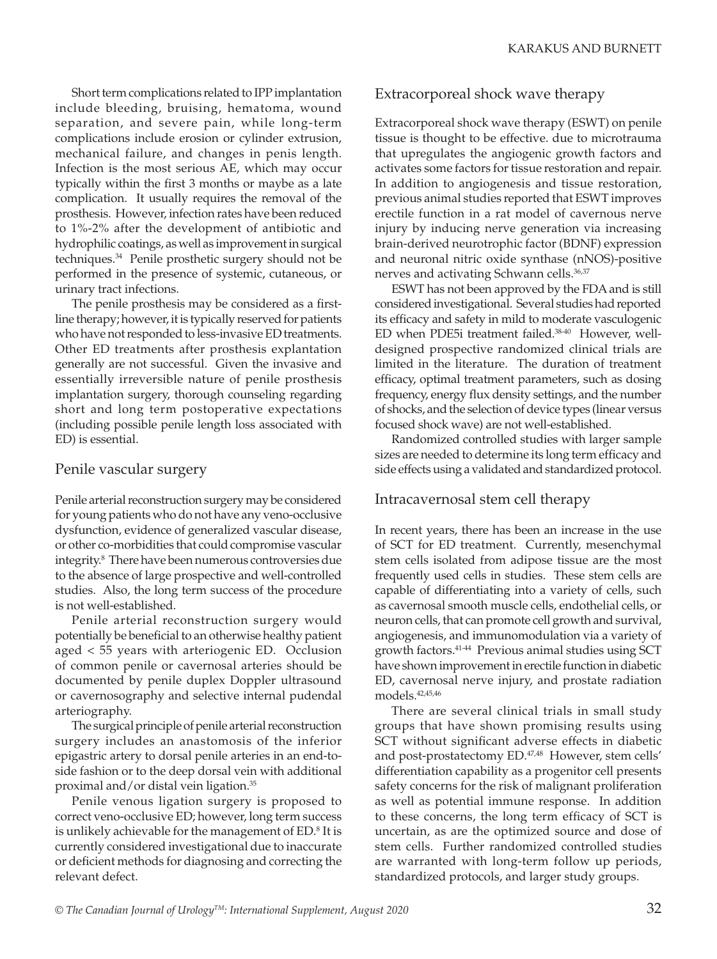Short term complications related to IPP implantation include bleeding, bruising, hematoma, wound separation, and severe pain, while long-term complications include erosion or cylinder extrusion, mechanical failure, and changes in penis length. Infection is the most serious AE, which may occur typically within the first 3 months or maybe as a late complication. It usually requires the removal of the prosthesis. However, infection rates have been reduced to 1%-2% after the development of antibiotic and hydrophilic coatings, as well as improvement in surgical techniques.34 Penile prosthetic surgery should not be performed in the presence of systemic, cutaneous, or urinary tract infections.

The penile prosthesis may be considered as a firstline therapy; however, it is typically reserved for patients who have not responded to less-invasive ED treatments. Other ED treatments after prosthesis explantation generally are not successful. Given the invasive and essentially irreversible nature of penile prosthesis implantation surgery, thorough counseling regarding short and long term postoperative expectations (including possible penile length loss associated with ED) is essential.

#### Penile vascular surgery

Penile arterial reconstruction surgery may be considered for young patients who do not have any veno-occlusive dysfunction, evidence of generalized vascular disease, or other co-morbidities that could compromise vascular integrity.8 There have been numerous controversies due to the absence of large prospective and well-controlled studies. Also, the long term success of the procedure is not well-established.

Penile arterial reconstruction surgery would potentially be beneficial to an otherwise healthy patient aged < 55 years with arteriogenic ED. Occlusion of common penile or cavernosal arteries should be documented by penile duplex Doppler ultrasound or cavernosography and selective internal pudendal arteriography.

The surgical principle of penile arterial reconstruction surgery includes an anastomosis of the inferior epigastric artery to dorsal penile arteries in an end-toside fashion or to the deep dorsal vein with additional proximal and/or distal vein ligation.35

Penile venous ligation surgery is proposed to correct veno-occlusive ED; however, long term success is unlikely achievable for the management of  $ED$ .<sup>8</sup> It is currently considered investigational due to inaccurate or deficient methods for diagnosing and correcting the relevant defect.

### Extracorporeal shock wave therapy

Extracorporeal shock wave therapy (ESWT) on penile tissue is thought to be effective. due to microtrauma that upregulates the angiogenic growth factors and activates some factors for tissue restoration and repair. In addition to angiogenesis and tissue restoration, previous animal studies reported that ESWT improves erectile function in a rat model of cavernous nerve injury by inducing nerve generation via increasing brain-derived neurotrophic factor (BDNF) expression and neuronal nitric oxide synthase (nNOS)-positive nerves and activating Schwann cells.<sup>36,37</sup>

ESWT has not been approved by the FDA and is still considered investigational. Several studies had reported its efficacy and safety in mild to moderate vasculogenic ED when PDE5i treatment failed.38-40 However, welldesigned prospective randomized clinical trials are limited in the literature. The duration of treatment efficacy, optimal treatment parameters, such as dosing frequency, energy flux density settings, and the number of shocks, and the selection of device types (linear versus focused shock wave) are not well-established.

Randomized controlled studies with larger sample sizes are needed to determine its long term efficacy and side effects using a validated and standardized protocol.

#### Intracavernosal stem cell therapy

In recent years, there has been an increase in the use of SCT for ED treatment. Currently, mesenchymal stem cells isolated from adipose tissue are the most frequently used cells in studies. These stem cells are capable of differentiating into a variety of cells, such as cavernosal smooth muscle cells, endothelial cells, or neuron cells, that can promote cell growth and survival, angiogenesis, and immunomodulation via a variety of growth factors.41-44 Previous animal studies using SCT have shown improvement in erectile function in diabetic ED, cavernosal nerve injury, and prostate radiation models.42,45,46

There are several clinical trials in small study groups that have shown promising results using SCT without significant adverse effects in diabetic and post-prostatectomy ED.<sup>47,48</sup> However, stem cells' differentiation capability as a progenitor cell presents safety concerns for the risk of malignant proliferation as well as potential immune response. In addition to these concerns, the long term efficacy of SCT is uncertain, as are the optimized source and dose of stem cells. Further randomized controlled studies are warranted with long-term follow up periods, standardized protocols, and larger study groups.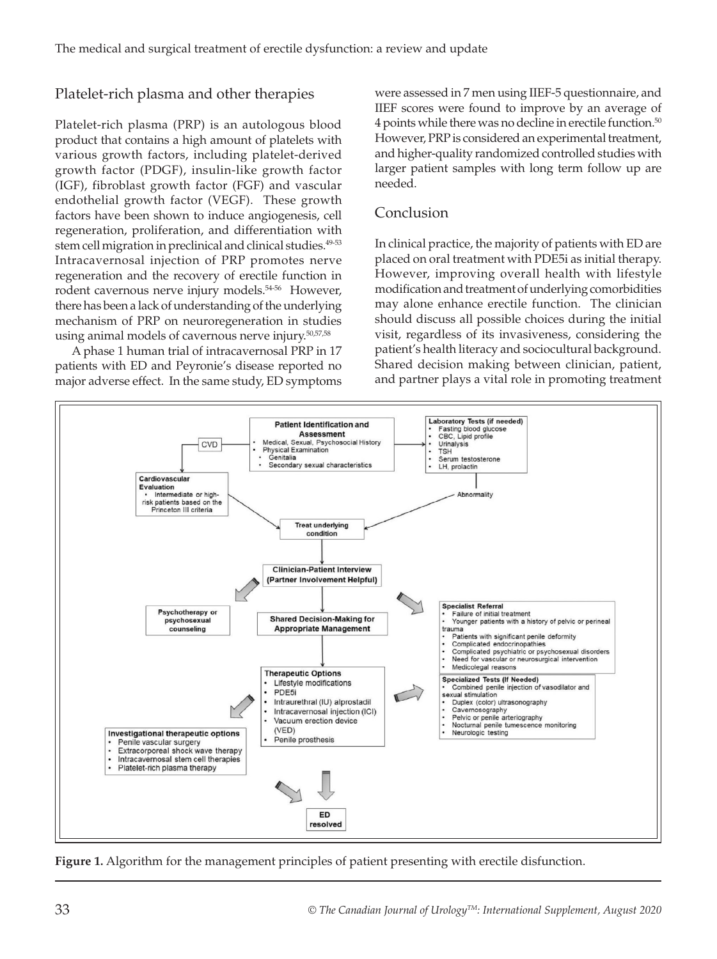# Platelet-rich plasma and other therapies

Platelet-rich plasma (PRP) is an autologous blood product that contains a high amount of platelets with various growth factors, including platelet‐derived growth factor (PDGF), insulin‐like growth factor (IGF), fibroblast growth factor (FGF) and vascular endothelial growth factor (VEGF). These growth factors have been shown to induce angiogenesis, cell regeneration, proliferation, and differentiation with stem cell migration in preclinical and clinical studies.<sup>49-53</sup> Intracavernosal injection of PRP promotes nerve regeneration and the recovery of erectile function in rodent cavernous nerve injury models.<sup>54-56</sup> However, there has been a lack of understanding of the underlying mechanism of PRP on neuroregeneration in studies using animal models of cavernous nerve injury.50,57,58

A phase 1 human trial of intracavernosal PRP in 17 patients with ED and Peyronie's disease reported no major adverse effect. In the same study, ED symptoms

were assessed in 7 men using IIEF-5 questionnaire, and IIEF scores were found to improve by an average of 4 points while there was no decline in erectile function.<sup>50</sup> However, PRP is considered an experimental treatment, and higher-quality randomized controlled studies with larger patient samples with long term follow up are needed.

## Conclusion

In clinical practice, the majority of patients with ED are placed on oral treatment with PDE5i as initial therapy. However, improving overall health with lifestyle modification and treatment of underlying comorbidities may alone enhance erectile function. The clinician should discuss all possible choices during the initial visit, regardless of its invasiveness, considering the patient's health literacy and sociocultural background. Shared decision making between clinician, patient, and partner plays a vital role in promoting treatment



**Figure 1.** Algorithm for the management principles of patient presenting with erectile disfunction.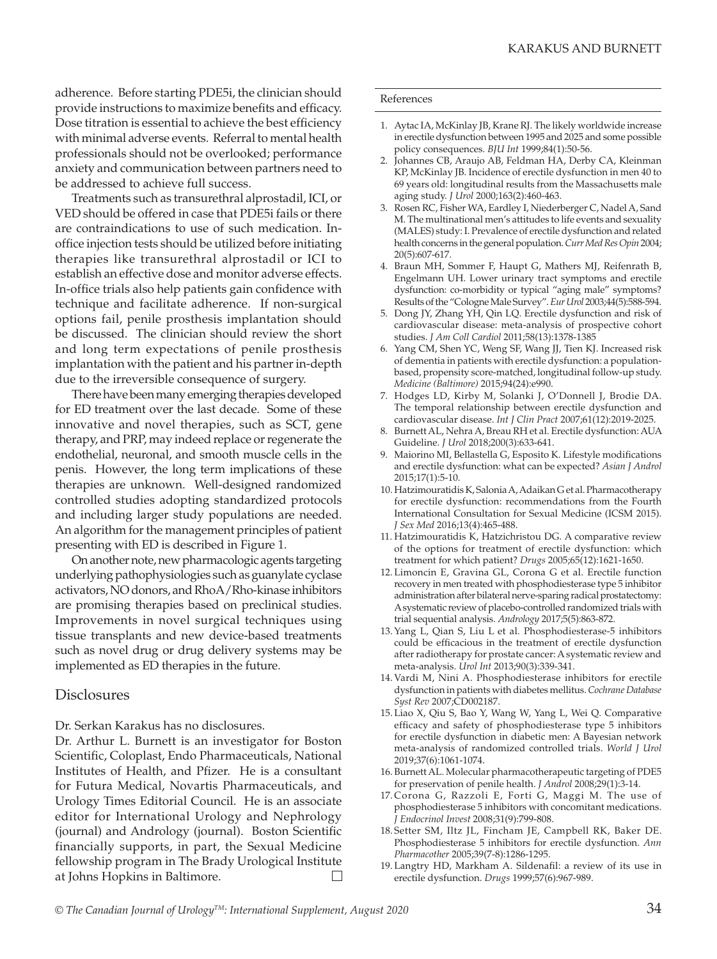adherence. Before starting PDE5i, the clinician should provide instructions to maximize benefits and efficacy. Dose titration is essential to achieve the best efficiency with minimal adverse events. Referral to mental health professionals should not be overlooked; performance anxiety and communication between partners need to be addressed to achieve full success.

Treatments such as transurethral alprostadil, ICI, or VED should be offered in case that PDE5i fails or there are contraindications to use of such medication. Inoffice injection tests should be utilized before initiating therapies like transurethral alprostadil or ICI to establish an effective dose and monitor adverse effects. In-office trials also help patients gain confidence with technique and facilitate adherence. If non-surgical options fail, penile prosthesis implantation should be discussed. The clinician should review the short and long term expectations of penile prosthesis implantation with the patient and his partner in-depth due to the irreversible consequence of surgery.

There have been many emerging therapies developed for ED treatment over the last decade. Some of these innovative and novel therapies, such as SCT, gene therapy, and PRP, may indeed replace or regenerate the endothelial, neuronal, and smooth muscle cells in the penis. However, the long term implications of these therapies are unknown. Well-designed randomized controlled studies adopting standardized protocols and including larger study populations are needed. An algorithm for the management principles of patient presenting with ED is described in Figure 1.

On another note, new pharmacologic agents targeting underlying pathophysiologies such as guanylate cyclase activators, NO donors, and RhoA/Rho-kinase inhibitors are promising therapies based on preclinical studies. Improvements in novel surgical techniques using tissue transplants and new device-based treatments such as novel drug or drug delivery systems may be implemented as ED therapies in the future.

#### **Disclosures**

Dr. Serkan Karakus has no disclosures.

Dr. Arthur L. Burnett is an investigator for Boston Scientific, Coloplast, Endo Pharmaceuticals, National Institutes of Health, and Pfizer. He is a consultant for Futura Medical, Novartis Pharmaceuticals, and Urology Times Editorial Council. He is an associate editor for International Urology and Nephrology (journal) and Andrology (journal). Boston Scientific financially supports, in part, the Sexual Medicine fellowship program in The Brady Urological Institute at Johns Hopkins in Baltimore.

#### References

- 1. Aytac IA, McKinlay JB, Krane RJ. The likely worldwide increase in erectile dysfunction between 1995 and 2025 and some possible policy consequences. *BJU Int* 1999;84(1):50-56.
- 2. Johannes CB, Araujo AB, Feldman HA, Derby CA, Kleinman KP, McKinlay JB. Incidence of erectile dysfunction in men 40 to 69 years old: longitudinal results from the Massachusetts male aging study. *J Urol* 2000;163(2):460-463.
- 3. Rosen RC, Fisher WA, Eardley I, Niederberger C, Nadel A, Sand M. The multinational men's attitudes to life events and sexuality (MALES) study: I. Prevalence of erectile dysfunction and related health concerns in the general population. *Curr Med Res Opin* 2004; 20(5):607-617.
- 4. Braun MH, Sommer F, Haupt G, Mathers MJ, Reifenrath B, Engelmann UH. Lower urinary tract symptoms and erectile dysfunction: co-morbidity or typical "aging male" symptoms? Results of the "Cologne Male Survey". *Eur Urol* 2003;44(5):588-594.
- 5. Dong JY, Zhang YH, Qin LQ. Erectile dysfunction and risk of cardiovascular disease: meta-analysis of prospective cohort studies. *J Am Coll Cardiol* 2011;58(13):1378-1385
- 6. Yang CM, Shen YC, Weng SF, Wang JJ, Tien KJ. Increased risk of dementia in patients with erectile dysfunction: a populationbased, propensity score-matched, longitudinal follow-up study. *Medicine (Baltimore)* 2015;94(24):e990.
- 7. Hodges LD, Kirby M, Solanki J, O'Donnell J, Brodie DA. The temporal relationship between erectile dysfunction and cardiovascular disease. *Int J Clin Pract* 2007;61(12):2019-2025.
- 8. Burnett AL, Nehra A, Breau RH et al. Erectile dysfunction: AUA Guideline. *J Urol* 2018;200(3):633-641.
- 9. Maiorino MI, Bellastella G, Esposito K. Lifestyle modifications and erectile dysfunction: what can be expected? *Asian J Androl* 2015;17(1):5-10.
- 10. Hatzimouratidis K, Salonia A, Adaikan G et al. Pharmacotherapy for erectile dysfunction: recommendations from the Fourth International Consultation for Sexual Medicine (ICSM 2015). *J Sex Med* 2016;13(4):465-488.
- 11. Hatzimouratidis K, Hatzichristou DG. A comparative review of the options for treatment of erectile dysfunction: which treatment for which patient? *Drugs* 2005;65(12):1621-1650.
- 12. Limoncin E, Gravina GL, Corona G et al. Erectile function recovery in men treated with phosphodiesterase type 5 inhibitor administration after bilateral nerve-sparing radical prostatectomy: A systematic review of placebo-controlled randomized trials with trial sequential analysis. *Andrology* 2017;5(5):863-872.
- 13.Yang L, Qian S, Liu L et al. Phosphodiesterase-5 inhibitors could be efficacious in the treatment of erectile dysfunction after radiotherapy for prostate cancer: A systematic review and meta-analysis. *Urol Int* 2013;90(3):339-341.
- 14. Vardi M, Nini A. Phosphodiesterase inhibitors for erectile dysfunction in patients with diabetes mellitus. *Cochrane Database Syst Rev* 2007;CD002187.
- 15. Liao X, Qiu S, Bao Y, Wang W, Yang L, Wei Q. Comparative efficacy and safety of phosphodiesterase type 5 inhibitors for erectile dysfunction in diabetic men: A Bayesian network meta-analysis of randomized controlled trials. *World J Urol* 2019;37(6):1061-1074.
- 16. Burnett AL. Molecular pharmacotherapeutic targeting of PDE5 for preservation of penile health. *J Androl* 2008;29(1):3-14.
- 17. Corona G, Razzoli E, Forti G, Maggi M. The use of phosphodiesterase 5 inhibitors with concomitant medications. *J Endocrinol Invest* 2008;31(9):799-808.
- 18. Setter SM, Iltz JL, Fincham JE, Campbell RK, Baker DE. Phosphodiesterase 5 inhibitors for erectile dysfunction. *Ann Pharmacother* 2005;39(7-8):1286-1295.
- 19. Langtry HD, Markham A. Sildenafil: a review of its use in erectile dysfunction. *Drugs* 1999;57(6):967-989.